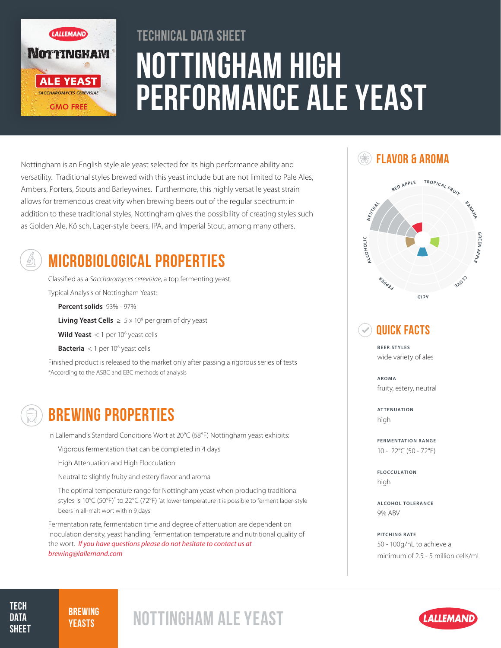

# Nottingham High Performance Ale Yeast Technical Data Sheet

Nottingham is an English style ale yeast selected for its high performance ability and versatility. Traditional styles brewed with this yeast include but are not limited to Pale Ales, Ambers, Porters, Stouts and Barleywines. Furthermore, this highly versatile yeast strain allows for tremendous creativity when brewing beers out of the regular spectrum: in addition to these traditional styles, Nottingham gives the possibility of creating styles such as Golden Ale, Kölsch, Lager-style beers, IPA, and Imperial Stout, among many others.



## MICROBIOLOGICAL PROPERTIES

Classified as a *Saccharomyces cerevisiae*, a top fermenting yeast. Typical Analysis of Nottingham Yeast:

**Percent solids** 93% - 97%

**Living Yeast Cells**  $\geq 5 \times 10^9$  per gram of dry yeast

**Wild Yeast** < 1 per 10<sup>6</sup> yeast cells

**Bacteria** < 1 per 10<sup>6</sup> yeast cells

Finished product is released to the market only after passing a rigorous series of tests \*According to the ASBC and EBC methods of analysis

## BREWING PROPERTIES

In Lallemand's Standard Conditions Wort at 20°C (68°F) Nottingham yeast exhibits:

Vigorous fermentation that can be completed in 4 days

High Attenuation and High Flocculation

Neutral to slightly fruity and estery flavor and aroma

The optimal temperature range for Nottingham yeast when producing traditional styles is 10°C (50°F)<sup>\*</sup> to 22°C (72°F) \*at lower temperature it is possible to ferment lager-style beers in all-malt wort within 9 days

Fermentation rate, fermentation time and degree of attenuation are dependent on inoculation density, yeast handling, fermentation temperature and nutritional quality of the wort. *If you have questions please do not hesitate to contact us at brewing@lallemand.com*

### **SEXT FLAVOR & AROMA**



### Quick Facts

**BEER STYLES** wide variety of ales

**AROMA** fruity, estery, neutral

**ATTENUATION** high

**FERMENTATION RANGE** 10 - 22°C (50 - 72°F)

**FLOCCULATION** high

**ALCOHOL TOLERANCE** 9% ABV

**PITCHING RATE** 50 - 100g/hL to achieve a minimum of 2.5 - 5 million cells/mL

#### **TECH DATA SHEET**

# **BREWING**

# **BREWING NOTTINGHAM ALE YEAST**